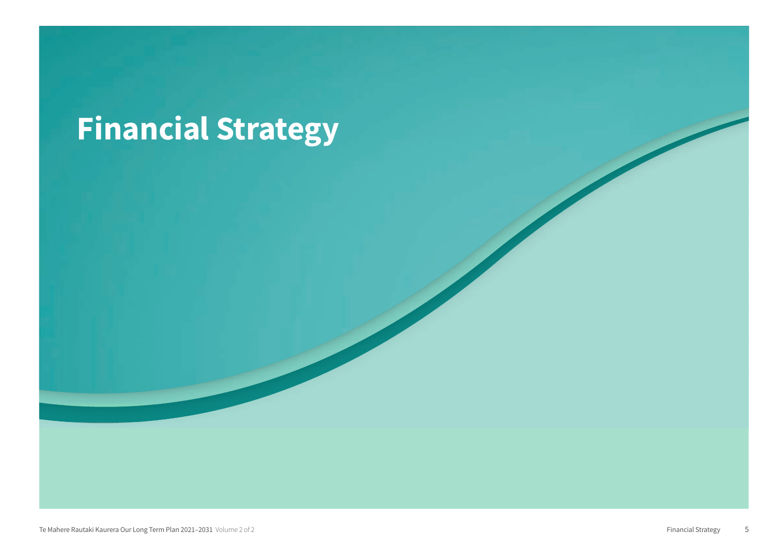# **Financial Strategy**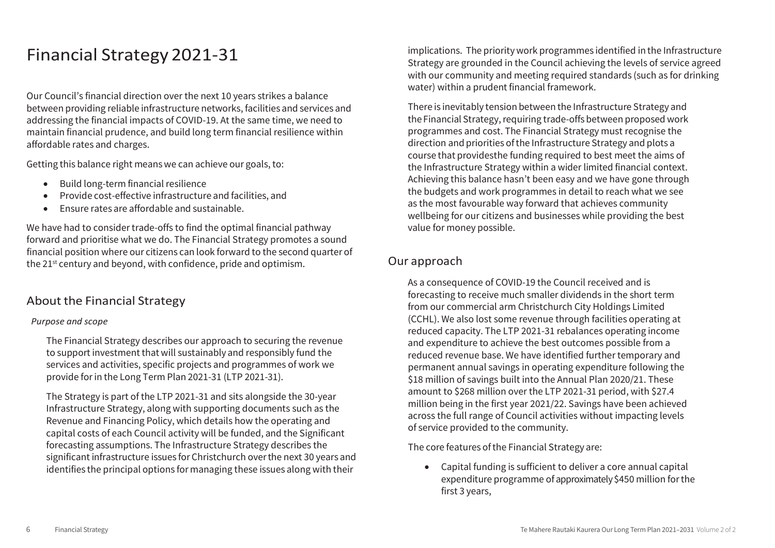# Financial Strategy 2021-31

Our Council's financial direction over the next 10 years strikes a balance between providing reliable infrastructure networks, facilities and services and addressing the financial impacts of COVID-19. At the same time, we need to maintain financial prudence, and build long term financial resilience within affordable rates and charges.

Getting this balance right means we can achieve our goals, to:

- Build long-term financial resilience
- Provide cost-effective infrastructure and facilities, and
- Ensure rates are affordable and sustainable.

We have had to consider trade-offs to find the optimal financial pathway forward and prioritise what we do. The Financial Strategy promotes a sound financial position where our citizens can look forward to the second quarter of the 21<sup>st</sup> century and beyond, with confidence, pride and optimism.

### About the Financial Strategy

#### *Purpose and scope*

The Financial Strategy describes our approach to securing the revenue to support investment that will sustainably and responsibly fund the services and activities, specific projects and programmes of work we provide forin the Long Term Plan 2021-31 (LTP 2021-31).

The Strategy is part of the LTP 2021-31 and sits alongside the 30-year Infrastructure Strategy, along with supporting documents such as the Revenue and Financing Policy, which details how the operating and capital costs of each Council activity will be funded, and the Significant forecasting assumptions. The Infrastructure Strategy describes the significant infrastructure issues for Christchurch overthe next 30 years and identifies the principal options for managing these issues along with their

implications. The priority work programmes identified in the Infrastructure Strategy are grounded in the Council achieving the levels of service agreed with our community and meeting required standards (such as for drinking water) within a prudent financial framework.

There is inevitably tension between the Infrastructure Strategy and the Financial Strategy, requiring trade-offs between proposed work programmes and cost. The Financial Strategy must recognise the direction and priorities of the Infrastructure Strategy and plots a course that providesthe funding required to best meet the aims of the Infrastructure Strategy within a wider limited financial context. Achieving this balance hasn't been easy and we have gone through the budgets and work programmes in detail to reach what we see as the most favourable way forward that achieves community wellbeing for our citizens and businesses while providing the best value for money possible.

### Our approach

As a consequence of COVID-19 the Council received and is forecasting to receive much smaller dividends in the short term from our commercial arm Christchurch City Holdings Limited (CCHL). We also lost some revenue through facilities operating at reduced capacity. The LTP 2021-31 rebalances operating income and expenditure to achieve the best outcomes possible from a reduced revenue base. We have identified further temporary and permanent annual savings in operating expenditure following the \$18 million of savings built into the Annual Plan 2020/21. These amount to \$268 million over the LTP 2021-31 period, with \$27.4 million being in the first year 2021/22. Savings have been achieved across the full range of Council activities without impacting levels of service provided to the community.

The core features of the Financial Strategy are:

 Capital funding is sufficient to deliver a core annual capital expenditure programme of approximately \$450 million for the first 3 years,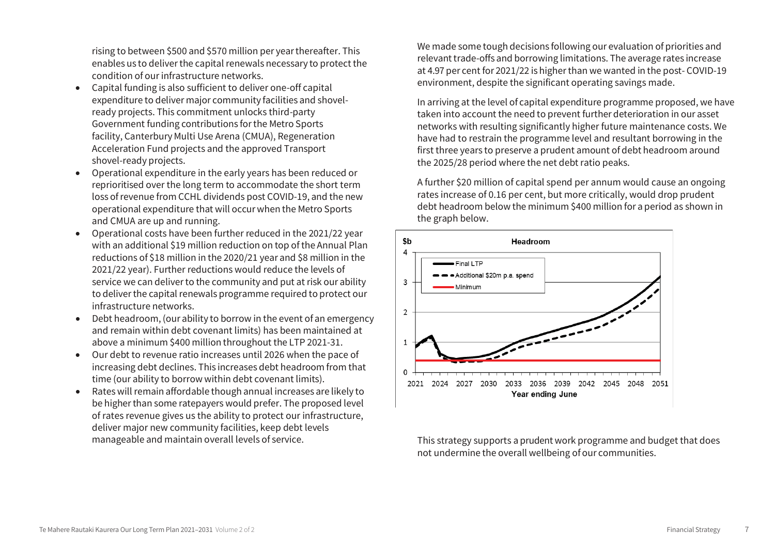rising to between \$500 and \$570 million per year thereafter. This enables us to deliverthe capital renewals necessary to protect the condition of our infrastructure networks.

- Capital funding is also sufficient to deliver one-off capital expenditure to deliver major community facilities and shovelready projects. This commitment unlocks third-party Government funding contributions for the Metro Sports facility, Canterbury Multi Use Arena (CMUA), Regeneration Acceleration Fund projects and the approved Transport shovel-ready projects.
- Operational expenditure in the early years has been reduced or reprioritised over the long term to accommodate the short term loss of revenue from CCHL dividends post COVID-19, and the new operational expenditure that will occur when the Metro Sports and CMUA are up and running.
- Operational costs have been further reduced in the 2021/22 year with an additional \$19 million reduction on top of the Annual Plan reductions of \$18 million in the 2020/21 year and \$8 million in the 2021/22 year). Further reductions would reduce the levels of service we can deliverto the community and put at risk our ability to deliver the capital renewals programme required to protect our infrastructure networks.
- Debt headroom, (our ability to borrow in the event of an emergency and remain within debt covenant limits) has been maintained at above a minimum \$400 million throughout the LTP 2021-31.
- Our debt to revenue ratio increases until 2026 when the pace of increasing debt declines. This increases debt headroom from that time (our ability to borrow within debt covenant limits).
- Rates will remain affordable though annual increases are likely to be higher than some ratepayers would prefer. The proposed level of rates revenue gives us the ability to protect our infrastructure, deliver major new community facilities, keep debt levels manageable and maintain overall levels of service.

We made some tough decisions following our evaluation of priorities and relevant trade-offs and borrowing limitations. The average rates increase at 4.97 per cent for 2021/22 is higher than we wanted in the post- COVID-19 environment, despite the significant operating savings made.

In arriving at the level of capital expenditure programme proposed, we have taken into account the need to prevent further deterioration in our asset networks with resulting significantly higher future maintenance costs. We have had to restrain the programme level and resultant borrowing in the first three years to preserve a prudent amount of debt headroom around the 2025/28 period where the net debt ratio peaks.

A further \$20 million of capital spend per annum would cause an ongoing rates increase of 0.16 per cent, but more critically, would drop prudent debt headroom below the minimum \$400 million for a period as shown in the graph below.



This strategy supports a prudent work programme and budget that does not undermine the overall wellbeing of our communities.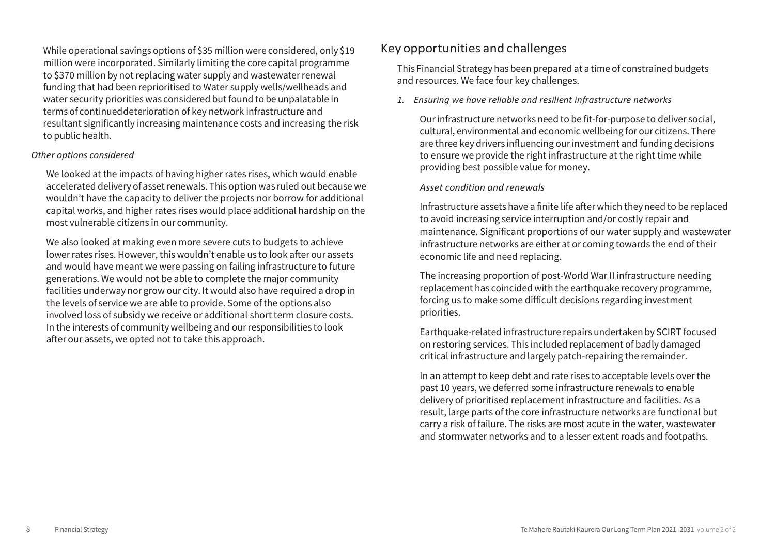While operational savings options of \$35 million were considered, only \$19 million were incorporated. Similarly limiting the core capital programme to \$370 million by not replacing water supply and wastewater renewal funding that had been reprioritised to Water supply wells/wellheads and water security priorities was considered but found to be unpalatable in terms of continued deterioration of key network infrastructure and resultant significantly increasing maintenance costs and increasing the risk to public health.

#### *Other options considered*

We looked at the impacts of having higher rates rises, which would enable accelerated delivery of asset renewals. This option was ruled out because we wouldn't have the capacity to deliver the projects nor borrow for additional capital works, and higher rates rises would place additional hardship on the most vulnerable citizens in our community.

We also looked at making even more severe cuts to budgets to achieve lower rates rises. However, this wouldn't enable us to look after our assets and would have meant we were passing on failing infrastructure to future generations. We would not be able to complete the major community facilities underway nor grow our city. It would also have required a drop in the levels of service we are able to provide. Some ofthe options also involved loss of subsidy we receive or additional short term closure costs. In the interests of community wellbeing and our responsibilities to look after our assets, we opted not to take this approach.

### Key opportunities and challenges

This Financial Strategy has been prepared at a time of constrained budgets and resources. We face four key challenges.

*1. Ensuring we have reliable and resilient infrastructure networks*

Our infrastructure networks need to be fit-for-purpose to deliver social, cultural, environmental and economic wellbeing for our citizens. There are three key drivers influencing our investment and funding decisions to ensure we provide the right infrastructure at the right time while providing best possible value for money.

#### *Asset condition and renewals*

Infrastructure assets have a finite life after which they need to be replaced to avoid increasing service interruption and/or costly repair and maintenance. Significant proportions of our water supply and wastewater infrastructure networks are either at or coming towards the end of their economic life and need replacing.

The increasing proportion of post-World War II infrastructure needing replacement has coincided with the earthquake recovery programme, forcing us to make some difficult decisions regarding investment priorities.

Earthquake-related infrastructure repairs undertakenby SCIRT focused on restoring services. This included replacement of badly damaged critical infrastructure and largely patch-repairing the remainder.

In an attempt to keep debt and rate rises to acceptable levels over the past 10 years, we deferred some infrastructure renewals to enable delivery of prioritised replacement infrastructure and facilities. As a result, large parts of the core infrastructure networks are functional but carry a risk of failure. The risks are most acute in the water, wastewater and stormwater networks and to a lesser extent roads and footpaths.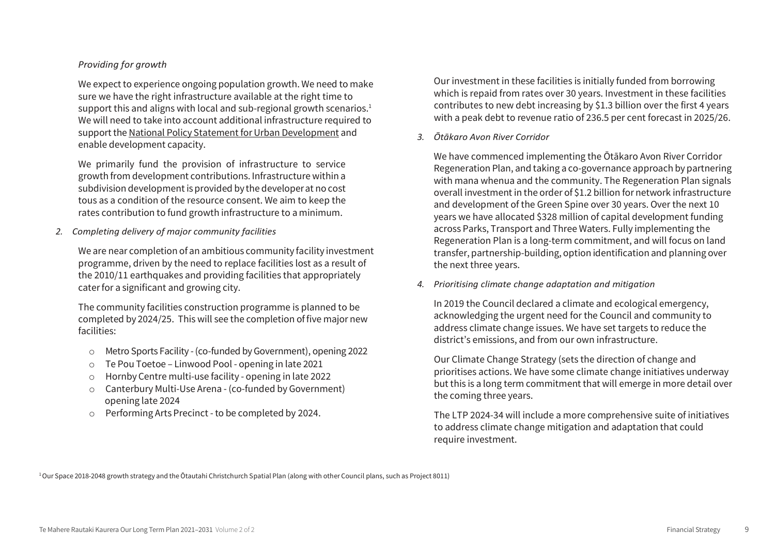#### *Providing for growth*

We expect to experience ongoing population growth. We need to make sure we have the right infrastructure available at the right time to support this and aligns with local and sub-regional growth scenarios.<sup>1</sup> We will need to take into account additional infrastructure required to support the National Policy Statement for Urban Development and enable development capacity.

We primarily fund the provision of infrastructure to service growth from development contributions. Infrastructure within a subdivision development is provided by the developerat no cost tous as a condition of the resource consent. We aim to keep the rates contribution to fund growth infrastructure to a minimum.

*2. Completing delivery of major community facilities*

We are near completion of an ambitious community facility investment programme, driven by the need to replace facilities lost as a result of the 2010/11 earthquakes and providing facilities that appropriately caterfor a significant and growing city.

The community facilities construction programme is planned to be completed by 2024/25. This will see the completion offive major new facilities:

- o Metro Sports Facility (co-funded byGovernment), opening 2022
- o Te Pou Toetoe Linwood Pool opening in late 2021
- o Hornby Centre multi-use facility opening in late 2022
- o Canterbury Multi-Use Arena (co-funded by Government) opening late 2024
- o Performing Arts Precinct to be completed by 2024.

Our investment in these facilities is initially funded from borrowing which is repaid from rates over 30 years. Investment in these facilities contributes to new debt increasing by \$1.3 billion over the first 4 years with a peak debt to revenue ratio of 236.5 per cent forecast in 2025/26.

*3. Ōtākaro Avon River Corridor*

We have commenced implementing the Ōtākaro Avon River Corridor Regeneration Plan, and taking a co-governance approach by partnering with mana whenua and the community. The Regeneration Plan signals overall investment in the order of \$1.2 billion for network infrastructure and development of the Green Spine over 30 years. Over the next 10 years we have allocated \$328 million of capital development funding across Parks, Transport and Three Waters. Fully implementing the Regeneration Plan is a long-term commitment, and will focus on land transfer, partnership-building, option identification and planning over the next three years.

*4. Prioritising climate change adaptation and mitigation*

In 2019 the Council declared a climate and ecological emergency, acknowledging the urgent need for the Council and community to address climate change issues. We have set targets to reduce the district's emissions, and from our own infrastructure.

Our Climate Change Strategy (sets the direction of change and prioritises actions. We have some climate change initiatives underway but this is a long term commitment that will emerge in more detail over the coming three years.

The LTP 2024-34 will include a more comprehensive suite of initiatives to address climate change mitigation and adaptation that could require investment.

 $10$ ur Space 2018-2048 growth strategy and the Ōtautahi Christchurch Spatial Plan (along with other Council plans, such as Project 8011)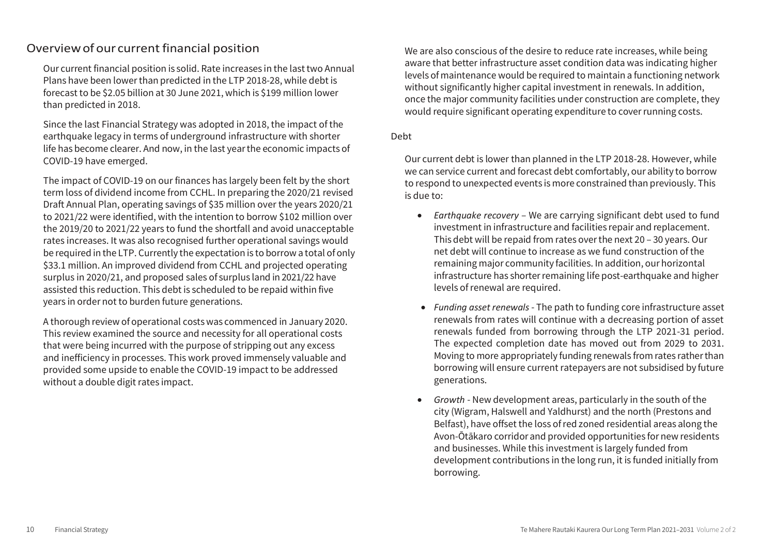### Overviewof our current financial position

Our current financial position is solid. Rate increases in the last two Annual Plans have been lower than predicted in the LTP 2018-28, while debt is forecast to be \$2.05 billion at 30 June 2021, which is \$199 million lower than predicted in 2018.

Since the last Financial Strategy was adopted in 2018, the impact of the earthquake legacy in terms of underground infrastructure with shorter life has become clearer. And now, in the last year the economic impacts of COVID-19 have emerged.

The impact of COVID-19 on our finances has largely been felt by the short term loss of dividend income from CCHL. In preparing the 2020/21 revised Draft Annual Plan, operating savings of \$35 million over the years 2020/21 to 2021/22 were identified, with the intention to borrow \$102 million over the 2019/20 to 2021/22 years to fund the shortfall and avoid unacceptable rates increases. It was also recognised further operational savings would be required in the LTP. Currently the expectation is to borrow a total of only \$33.1 million. An improved dividend from CCHL and projected operating surplus in 2020/21, and proposed sales of surplus land in 2021/22 have assisted this reduction. This debt is scheduled to be repaid within five years in order not to burden future generations.

A thorough review of operational costs was commenced in January 2020. This review examined the source and necessity for all operational costs that were being incurred with the purpose of stripping out any excess and inefficiency in processes. This work proved immensely valuable and provided some upside to enable the COVID-19 impact to be addressed without a double digit rates impact.

We are also conscious of the desire to reduce rate increases, while being aware that better infrastructure asset condition data was indicating higher levels of maintenance would be required to maintain a functioning network without significantly higher capital investment in renewals. In addition, once the major community facilities under construction are complete, they would require significant operating expenditure to cover running costs.

#### Debt

Our current debt is lower than planned in the LTP 2018-28. However, while we can service current and forecast debt comfortably, our ability to borrow to respond to unexpected events is more constrained than previously. This is due to:

- *Earthquake recovery* We are carrying significant debt used to fund investment in infrastructure and facilities repair and replacement. This debt will be repaid from rates overthe next 20 – 30 years. Our net debt will continue to increase as we fund construction of the remaining major community facilities. In addition, our horizontal infrastructure has shorter remaining life post-earthquake and higher levels of renewal are required.
- *Funding asset renewals* The path to funding core infrastructure asset renewals from rates will continue with a decreasing portion of asset renewals funded from borrowing through the LTP 2021-31 period. The expected completion date has moved out from 2029 to 2031. Moving to more appropriately funding renewals from rates rather than borrowing will ensure current ratepayers are not subsidised by future generations.
- *Growth*  New development areas, particularly in the south of the city (Wigram, Halswell and Yaldhurst) and the north (Prestons and Belfast), have offset the loss of red zoned residential areas along the Avon-Ōtākaro corridor and provided opportunities for new residents and businesses. While this investment is largely funded from development contributions in the long run, it is funded initially from borrowing.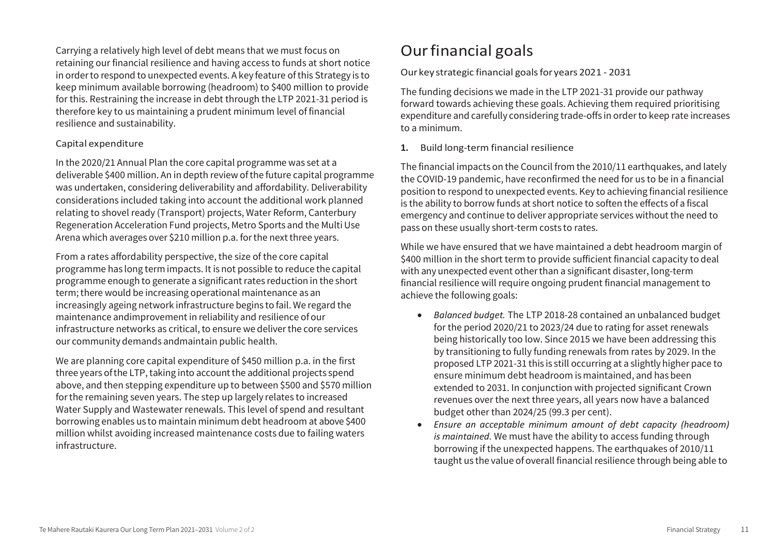Carrying a relatively high level of debt means that we must focus on retaining our financial resilience and having access to funds at short notice in orderto respond to unexpected events. A key feature ofthis Strategy is to keep minimum available borrowing (headroom) to \$400 million to provide for this. Restraining the increase in debt through the LTP 2021-31 period is therefore key to us maintaining a prudent minimum level of financial resilience and sustainability.

#### Capital expenditure

In the 2020/21 Annual Plan the core capital programme was set at a deliverable \$400 million. An in depth review of the future capital programme was undertaken, considering deliverability and affordability. Deliverability considerations included taking into account the additional work planned relating to shovel ready (Transport) projects, Water Reform, Canterbury Regeneration Acceleration Fund projects, Metro Sports and the Multi Use Arena which averages over \$210 million p.a. for the next three years.

From a rates affordability perspective, the size of the core capital programme has long term impacts. It is not possible to reduce the capital programme enough to generate a significantrates reduction in the short term; there would be increasing operational maintenance as an increasingly ageing network infrastructure begins to fail. We regard the maintenance and improvement in reliability and resilience of our infrastructure networks as critical, to ensure we deliver the core services our community demands andmaintain public health.

We are planning core capital expenditure of \$450 million p.a. in the first three years of the LTP, taking into account the additional projects spend above, and then stepping expenditure up to between \$500 and \$570 million for the remaining seven years. The step up largely relates to increased Water Supply and Wastewater renewals. This level of spend and resultant borrowing enables us to maintain minimum debt headroom at above \$400 million whilst avoiding increased maintenance costs due to failing waters infrastructure.

# Ourfinancial goals

Our key strategic financial goalsforyears 2021 - 2031

The funding decisions we made in the LTP 2021-31 provide our pathway forward towards achieving these goals. Achieving them required prioritising expenditure and carefully considering trade-offs in order to keep rate increases to a minimum.

#### **1.** Build long-term financial resilience

The financial impacts on the Council from the 2010/11 earthquakes, and lately the COVID-19 pandemic, have reconfirmed the need for us to be in a financial position to respond to unexpected events. Key to achieving financial resilience is the ability to borrow funds at short notice to soften the effects of a fiscal emergency and continue to deliver appropriate services without the need to pass on these usually short-term costs to rates.

While we have ensured that we have maintained a debt headroom margin of \$400 million in the short term to provide sufficient financial capacity to deal with any unexpected event otherthan a significant disaster, long-term financial resilience will require ongoing prudent financial management to achieve the following goals:

- *Balanced budget.* The LTP 2018-28 contained an unbalanced budget for the period 2020/21 to 2023/24 due to rating for asset renewals being historically too low. Since 2015 we have been addressing this by transitioning to fully funding renewals from rates by 2029. In the proposed LTP 2021-31 this is still occurring at a slightly higher pace to ensure minimum debt headroom is maintained, and has been extended to 2031. In conjunction with projected significant Crown revenues over the next three years, all years now have a balanced budget other than 2024/25 (99.3 per cent).
- *Ensure an acceptable minimum amount of debt capacity (headroom) is maintained.* We must have the ability to access funding through borrowing if the unexpected happens. The earthquakes of 2010/11 taught us the value of overall financial resilience through being able to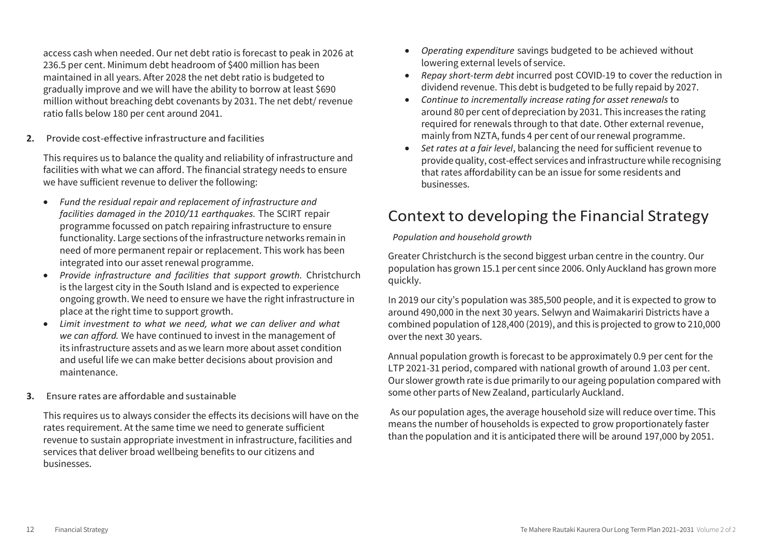access cash when needed. Our net debt ratio is forecast to peak in 2026 at 236.5 per cent. Minimum debt headroom of \$400 million has been maintained in all years. After 2028 the net debt ratio is budgeted to gradually improve and we will have the ability to borrow at least \$690 million without breaching debt covenants by 2031. The net debt/ revenue ratio falls below 180 per cent around 2041.

**2.** Provide cost-effective infrastructure and facilities

This requires us to balance the quality and reliability of infrastructure and facilities with what we can afford. The financial strategy needs to ensure we have sufficient revenue to deliver the following:

- *Fund the residual repair and replacement of infrastructure and facilities damaged in the 2010/11 earthquakes.* The SCIRT repair programme focussed on patch repairing infrastructure to ensure functionality. Large sections of the infrastructure networks remain in need of more permanent repair or replacement. This work has been integrated into our asset renewal programme.
- *Provide infrastructure and facilities that support growth.* Christchurch is the largest city in the South Island and is expected to experience ongoing growth. We need to ensure we have the right infrastructure in place at the right time to support growth.
- *Limit investment to what we need, what we can deliver and what we can afford.* We have continued to invest in the management of its infrastructure assets and as we learn more about asset condition and useful life we can make better decisions about provision and maintenance.
- **3.** Ensure rates are affordable and sustainable

This requires us to always consider the effects its decisions will have on the rates requirement. At the same time we need to generate sufficient revenue to sustain appropriate investment in infrastructure, facilities and services that deliver broad wellbeing benefits to our citizens and businesses.

- *Operating expenditure* savings budgeted to be achieved without lowering external levels of service.
- *Repay short-term debt* incurred post COVID-19 to cover the reduction in dividend revenue. This debt is budgeted to be fully repaid by 2027.
- *Continue to incrementally increase rating for asset renewals* to around 80 per cent of depreciation by 2031. This increases the rating required for renewals through to that date. Other external revenue, mainly from NZTA, funds 4 per cent of our renewal programme.
- *Set rates at a fair level*, balancing the need for sufficient revenue to provide quality, cost-effect services and infrastructure while recognising that rates affordability can be an issue for some residents and businesses.

# Context to developing the Financial Strategy

#### *Population and household growth*

Greater Christchurch is the second biggest urban centre in the country. Our population has grown 15.1 per cent since 2006. Only Auckland has grown more quickly.

In 2019 our city's population was 385,500 people, and it is expected to grow to around 490,000 in the next 30 years. Selwyn and Waimakariri Districts have a combined population of 128,400 (2019), and this is projected to grow to 210,000 over the next 30 years.

Annual population growth is forecast to be approximately 0.9 per cent for the LTP 2021-31 period, compared with national growth of around 1.03 per cent. Our slower growth rate is due primarily to our ageing population compared with some other parts of New Zealand, particularly Auckland.

As our population ages, the average household size will reduce over time. This means the number of households is expected to grow proportionately faster than the population and it is anticipated there will be around 197,000 by 2051.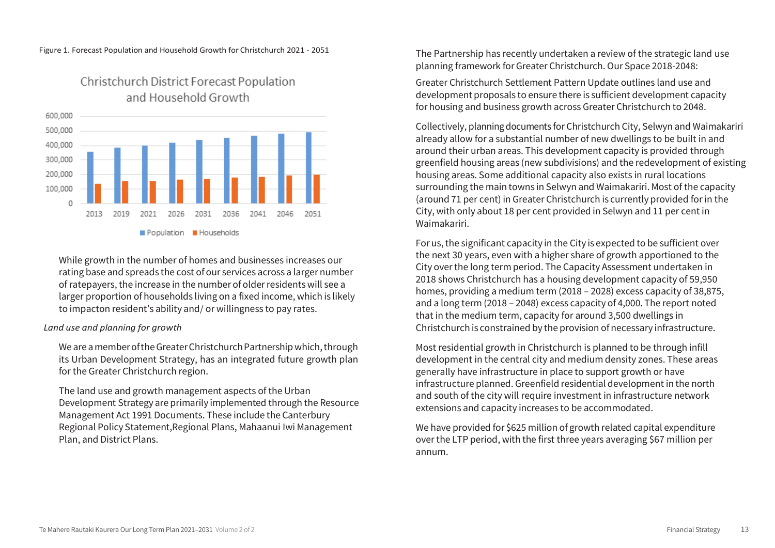Figure 1. Forecast Population and Household Growth for Christchurch 2021 - 2051



### Christchurch District Forecast Population and Household Growth

While growth in the number of homes and businesses increases our rating base and spreads the cost of our services across a larger number of ratepayers, the increase in the number of olderresidents will see a larger proportion of households living on a fixed income, which is likely to impacton resident's ability and/ or willingness to pay rates.

#### *Land use and planning for growth*

We are a memberof the Greater Christchurch Partnership which, through its Urban Development Strategy, has an integrated future growth plan for the Greater Christchurch region.

The land use and growth management aspects of the Urban Development Strategy are primarily implemented through the Resource Management Act 1991 Documents. These include the Canterbury Regional Policy Statement,Regional Plans, Mahaanui Iwi Management Plan, and District Plans.

The Partnership has recently undertaken a review of the strategic land use planning framework forGreater Christchurch. Our Space 2018-2048:

Greater Christchurch Settlement Pattern Update outlines land use and development proposals to ensure there is sufficient development capacity for housing and business growth across Greater Christchurch to 2048.

Collectively, planning documents for Christchurch City, Selwyn and Waimakariri already allow for a substantial number of new dwellings to be built in and around their urban areas. This development capacity is provided through greenfield housing areas (new subdivisions) and the redevelopment of existing housing areas. Some additional capacity also exists in rural locations surrounding the main towns in Selwyn and Waimakariri. Most of the capacity (around 71 per cent) in Greater Christchurch is currently provided for in the City, with only about 18 per cent provided in Selwyn and 11 per cent in Waimakariri.

For us, the significant capacity in the City is expected to be sufficient over the next 30 years, even with a higher share of growth apportioned to the City over the long term period. The Capacity Assessment undertaken in 2018 shows Christchurch has a housing development capacity of 59,950 homes, providing a medium term (2018 – 2028) excess capacity of 38,875, and a long term (2018 – 2048) excess capacity of 4,000. The report noted that in the medium term, capacity for around 3,500 dwellings in Christchurch is constrained by the provision of necessary infrastructure.

Most residential growth in Christchurch is planned to be through infill development in the central city and medium density zones. These areas generally have infrastructure in place to support growth or have infrastructure planned. Greenfield residential development in the north and south of the city will require investment in infrastructure network extensions and capacity increases to be accommodated.

We have provided for \$625 million of growth related capital expenditure over the LTP period, with the first three years averaging \$67 million per annum.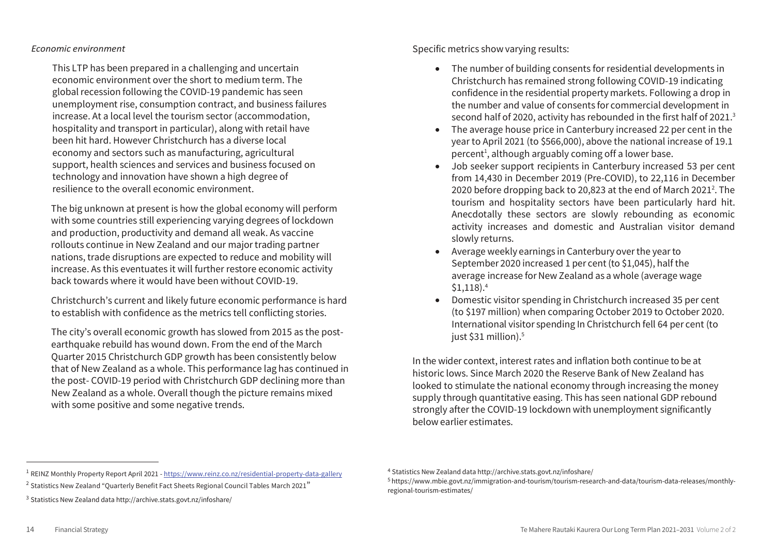#### *Economic environment*

This LTP has been prepared in a challenging and uncertain economic environment over the short to medium term. The global recession following the COVID-19 pandemic has seen unemployment rise, consumption contract, and business failures increase. At a local level the tourism sector (accommodation, hospitality and transport in particular), along with retail have been hit hard. However Christchurch has a diverse local economy and sectors such as manufacturing, agricultural support, health sciences and services and business focused on technology and innovation have shown a high degree of resilience to the overall economic environment.

The big unknown at present is how the global economy will perform with some countries still experiencing varying degrees of lockdown and production, productivity and demand all weak. As vaccine rollouts continue in New Zealand and our major trading partner nations, trade disruptions are expected to reduce and mobility will increase. As this eventuates it will further restore economic activity back towards where it would have been without COVID-19.

Christchurch's current and likely future economic performance is hard to establish with confidence as the metrics tell conflicting stories.

The city's overall economic growth has slowed from 2015 as the postearthquake rebuild has wound down. From the end of the March Quarter 2015 Christchurch GDP growth has been consistently below that of New Zealand as a whole. This performance lag has continued in the post- COVID-19 period with Christchurch GDP declining more than New Zealand as a whole. Overall though the picture remains mixed with some positive and some negative trends.

Specific metrics show varying results:

- The number of building consents for residential developments in Christchurch has remained strong following COVID-19 indicating confidence in the residential property markets. Following a drop in the number and value of consents for commercial development in second half of 2020, activity has rebounded in the first half of 2021. 3
- The average house price in Canterbury increased 22 per cent in the year to April 2021 (to \$566,000), above the national increase of 19.1 percent<sup>1</sup>, although arguably coming off a lower base.
- Job seeker support recipients in Canterbury increased 53 per cent from 14,430 in December 2019 (Pre-COVID), to 22,116 in December 2020 before dropping back to 20,823 at the end of March 2021 $^{\rm 2}$ . The tourism and hospitality sectors have been particularly hard hit. Anecdotally these sectors are slowly rebounding as economic activity increases and domestic and Australian visitor demand slowly returns.
- Average weekly earnings in Canterbury over the yearto September 2020 increased 1 per cent (to \$1,045), half the average increase for New Zealand as a whole (average wage \$1,118).4
- Domestic visitor spending in Christchurch increased 35 per cent (to \$197 million) when comparing October 2019 to October 2020. International visitor spending In Christchurch fell 64 per cent (to just \$31 million).<sup>5</sup>

In the wider context, interest rates and inflation both continue to be at historic lows. Since March 2020 the Reserve Bank of New Zealand has looked to stimulate the national economy through increasing the money supply through quantitative easing. This has seen national GDP rebound strongly after the COVID-19 lockdown with unemployment significantly below earlier estimates.

3 Statistics New Zealand data http://archive.stats.govt.nz/infoshare/

 $\overline{a}$ 

<sup>&</sup>lt;sup>1</sup> REINZ Monthly Property Report April 2021 - https://www.reinz.co.nz/residential-property-data-gallery <sup>2</sup> Statistics New Zealand "Quarterly Benefit Fact Sheets Regional Council Tables March 2021"

<sup>4</sup> Statistics New Zealand data http://archive.stats.govt.nz/infoshare/

<sup>5</sup> https://www.mbie.govt.nz/immigration-and-tourism/tourism-research-and-data/tourism-data-releases/monthlyregional-tourism-estimates/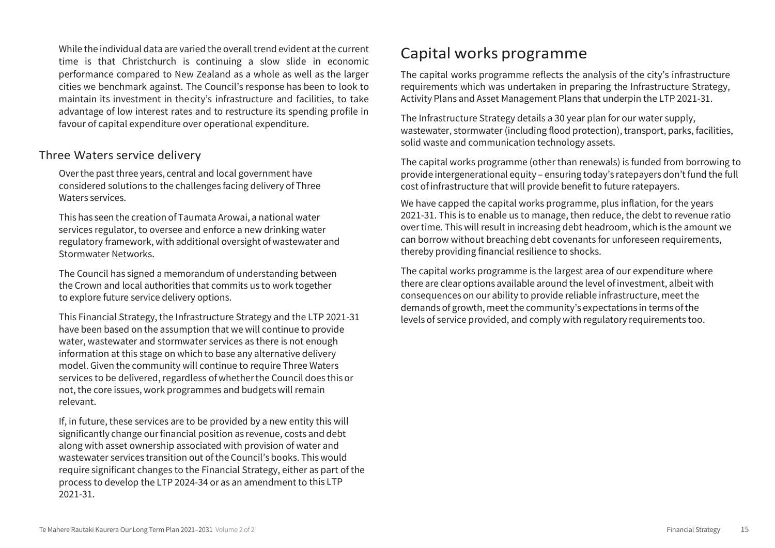While the individual data are varied the overall trend evident at the current time is that Christchurch is continuing a slow slide in economic performance compared to New Zealand as a whole as well as the larger cities we benchmark against. The Council's response has been to look to maintain its investment in the city's infrastructure and facilities, to take advantage of low interest rates and to restructure its spending profile in favour of capital expenditure over operational expenditure.

### Three Waters service delivery

Overthe pastthree years, central and local government have considered solutions to the challenges facing delivery of Three Waters services.

This has seen the creation of Taumata Arowai, a national water services regulator, to oversee and enforce a new drinking water regulatory framework, with additional oversight ofwastewater and Stormwater Networks.

The Council has signed a memorandum of understanding between the Crown and local authorities that commits us to work together to explore future service delivery options.

This Financial Strategy, the Infrastructure Strategy and the LTP 2021-31 have been based on the assumption that we will continue to provide water, wastewater and stormwater services as there is not enough information at this stage on which to base any alternative delivery model. Given the community will continue to require Three Waters services to be delivered, regardless of whether the Council does this or not, the core issues, work programmes and budgets will remain relevant.

If, in future, these services are to be provided by a new entity this will significantly change our financial position as revenue, costs and debt along with asset ownership associated with provision of water and wastewater services transition out of the Council's books. This would require significant changes to the Financial Strategy, either as part of the process to develop the LTP 2024-34 or as an amendment to this LTP 2021-31.

## Capital works programme

The capital works programme reflects the analysis of the city's infrastructure requirements which was undertaken in preparing the Infrastructure Strategy, Activity Plans and Asset Management Plans that underpin the LTP 2021-31.

The Infrastructure Strategy details a 30 year plan for our water supply, wastewater, stormwater (including flood protection), transport, parks, facilities, solid waste and communication technology assets.

The capital works programme (other than renewals) is funded from borrowing to provide intergenerational equity – ensuring today's ratepayers don't fund the full cost of infrastructure that will provide benefit to future ratepayers.

We have capped the capital works programme, plus inflation, for the years 2021-31. This is to enable us to manage, then reduce, the debt to revenue ratio over time. This will result in increasing debt headroom, which is the amount we can borrow without breaching debt covenants for unforeseen requirements, thereby providing financial resilience to shocks.

The capital works programme is the largest area of our expenditure where there are clear options available around the level of investment, albeit with consequences on our ability to provide reliable infrastructure, meet the demands of growth, meet the community's expectations in terms of the levels of service provided, and comply with regulatory requirements too.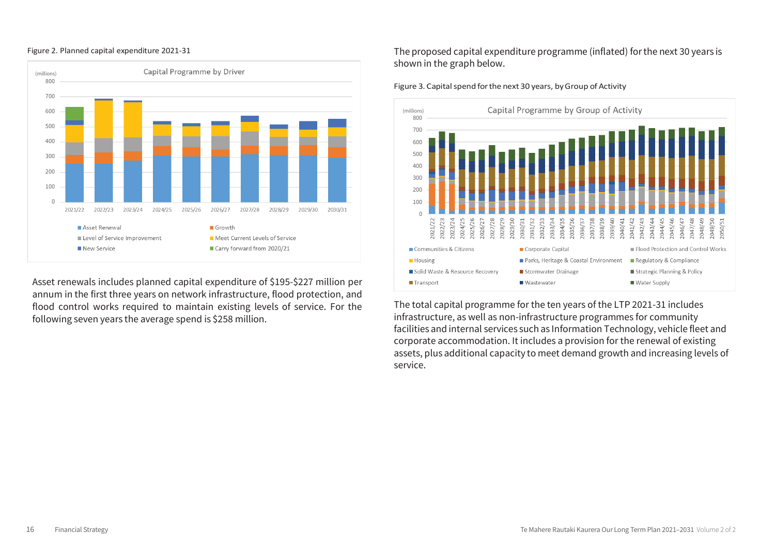



Asset renewals includes planned capital expenditure of \$195-\$227 million per annum in the first three years on network infrastructure, flood protection, and flood control works required to maintain existing levels of service. For the following seven years the average spend is \$258 million.

The proposed capital expenditure programme (inflated) for the next 30 years is shown in the graph below.





The total capital programme for the ten years of the LTP 2021-31 includes infrastructure, as well as non-infrastructure programmes for community facilities and internal services such as Information Technology, vehicle fleet and corporate accommodation. It includes a provision for the renewal of existing assets, plus additional capacity to meet demand growth and increasing levels of service.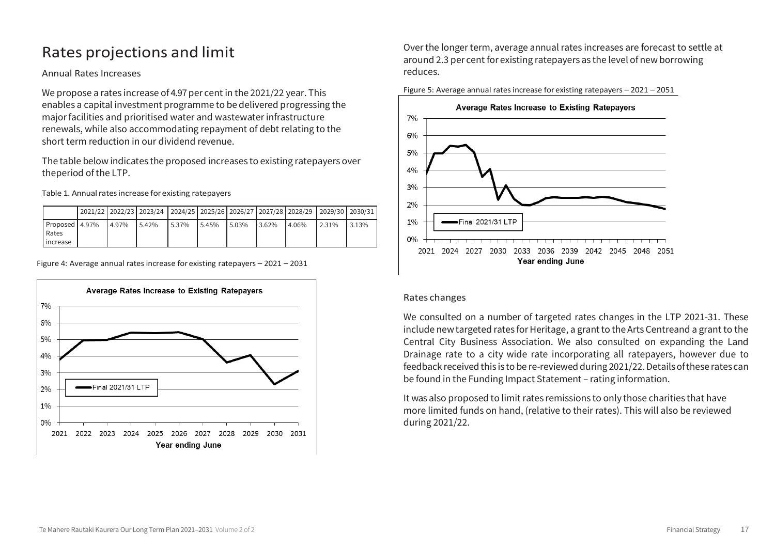# Rates projections and limit

#### Annual Rates Increases

We propose a rates increase of 4.97 per cent in the 2021/22 year. This enables a capital investment programme to be delivered progressing the major facilities and prioritised water and wastewater infrastructure renewals, while also accommodating repayment of debt relating to the short term reduction in our dividend revenue.

The table below indicates the proposed increases to existing ratepayers over the period of the LTP.

Table 1. Annual rates increase for existing ratepayers

|                                       |       | 2021/22 2022/23 2023/24 2024/25 2025/26 2026/27 2027/28 2028/29 2029/30 2030/31 |       |       |       |       |       |       |       |
|---------------------------------------|-------|---------------------------------------------------------------------------------|-------|-------|-------|-------|-------|-------|-------|
| Proposed 4.97%<br>Rates<br>l increase | 4.97% | 5.42%                                                                           | 5.37% | 5.45% | 5.03% | 3.62% | 4.06% | 2.31% | 3.13% |

Figure 4: Average annual rates increase for existing ratepayers – 2021 – 2031



Over the longer term, average annual rates increases are forecast to settle at around 2.3 per cent for existing ratepayers as the level of new borrowing reduces.





#### Rates changes

We consulted on a number of targeted rates changes in the LTP 2021-31. These include new targeted rates for Heritage, a grant to the Arts Centreand a grant to the Central City Business Association. We also consulted on expanding the Land Drainage rate to a city wide rate incorporating all ratepayers, however due to feedback received this is to be re-reviewed during 2021/22. Detailsofthese ratescan be found in the Funding Impact Statement – rating information.

It was also proposed to limit rates remissions to only those charities that have more limited funds on hand, (relative to their rates). This will also be reviewed during 2021/22.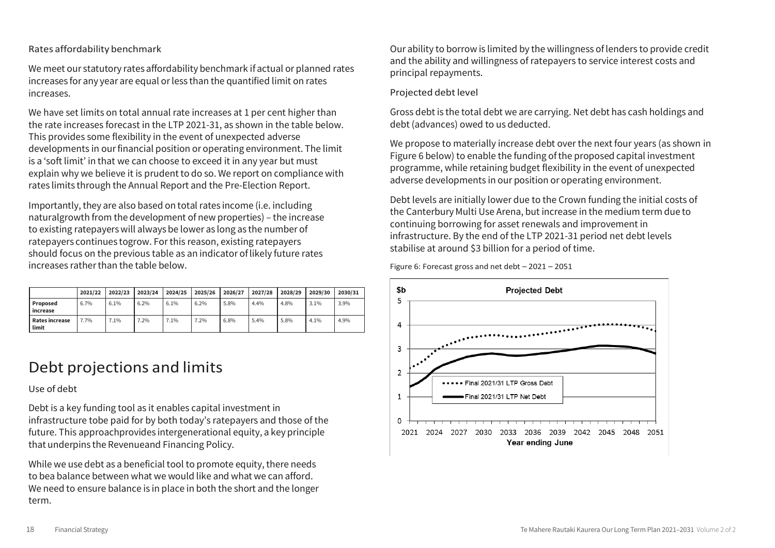#### Rates affordability benchmark

We meet our statutory rates affordability benchmark if actual or planned rates increases for any year are equal orless than the quantified limit on rates increases.

We have set limits on total annual rate increases at 1 per cent higher than the rate increases forecast in the LTP 2021-31, as shown in the table below. This provides some flexibility in the event of unexpected adverse developments in our financial position or operating environment. The limit is a 'soft limit' in that we can choose to exceed it in any year but must explain why we believe it is prudent to do so. We report on compliance with rates limits through the Annual Report and the Pre-Election Report.

Importantly, they are also based on total rates income (i.e. including natural growth from the development of new properties) – the increase to existing ratepayers will always be lower as long as the number of ratepayers continues to grow. For this reason, existing ratepayers should focus on the previous table as an indicator oflikely future rates increases rather than the table below.

|                                | 2021/22 | 2022/23 | 2023/24 | 2024/25 | 2025/26 | 2026/27 | 2027/28 | 2028/29 | 2029/30 | 2030/31 |
|--------------------------------|---------|---------|---------|---------|---------|---------|---------|---------|---------|---------|
| Proposed<br>increase           | 6.7%    | 6.1%    | 6.2%    | 6.1%    | 6.2%    | 5.8%    | 4.4%    | 4.8%    | 3.1%    | 3.9%    |
| <b>Rates increase</b><br>limit | 7.7%    | 7.1%    | 7.2%    | 7.1%    | 7.2%    | 6.8%    | 5.4%    | 5.8%    | 4.1%    | 4.9%    |

# Debt projections and limits

### Use of debt

Debt is a key funding tool as it enables capital investment in infrastructure tobe paid for by both today's ratepayers and those of the future. This approach provides intergenerational equity, a key principle that underpins the Revenueand Financing Policy.

While we use debt as a beneficial tool to promote equity, there needs to bea balance between what we would like and what we can afford. We need to ensure balance is in place in both the short and the longer term.

Our ability to borrow is limited by the willingness oflenders to provide credit and the ability and willingness of ratepayers to service interest costs and principal repayments.

### Projected debt level

Gross debt is the total debt we are carrying. Net debt has cash holdings and debt (advances) owed to us deducted.

We propose to materially increase debt over the next four years (as shown in Figure 6 below) to enable the funding of the proposed capital investment programme, while retaining budget flexibility in the event of unexpected adverse developments in our position or operating environment.

Debt levels are initially lower due to the Crown funding the initial costs of the Canterbury Multi Use Arena, but increase in the medium term due to continuing borrowing for asset renewals and improvement in infrastructure. By the end of the LTP 2021-31 period net debt levels stabilise at around \$3 billion for a period of time.

Figure 6: Forecast gross and net debt – 2021 – 2051

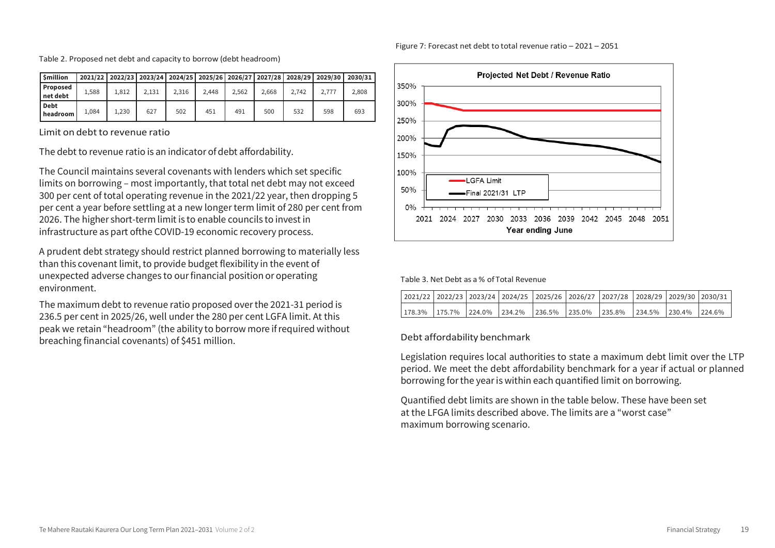# Te Mahere Rautaki Kaurera Our Long Term Plan 2021-2

#### Table 2. Proposed net debt and capacity to borrow (debt headroom)

| <b>Smillion</b>         |       |       |       |       |       |       |       |       | 2021/22 2022/23 2023/24 2024/25 2025/26 2026/27 2027/28 2028/29 2029/30 | 2030/31 |
|-------------------------|-------|-------|-------|-------|-------|-------|-------|-------|-------------------------------------------------------------------------|---------|
| Proposed<br>net debt    | 1,588 | 1.812 | 2.131 | 2.316 | 2.448 | 2.562 | 2.668 | 2.742 | 2.777                                                                   | 2.808   |
| <b>Debt</b><br>headroom | 1.084 | 1.230 | 627   | 502   | 451   | 491   | 500   | 532   | 598                                                                     | 693     |

Limit on debt to revenue ratio

The debt to revenue ratio is an indicator of debt affordability.

The Council maintains several covenants with lenders which set specific limits on borrowing – most importantly, that total net debt may not exceed 300 per cent of total operating revenue in the 2021/22 year, then dropping 5 per cent a year before settling at a new longer term limit of 280 per cent from 2026. The higher short-term limit is to enable councils to invest in infrastructure as part of the COVID-19 economic recovery process.

A prudent debt strategy should restrict planned borrowing to materially less than this covenant limit, to provide budget flexibility in the event of unexpected adverse changes to our financial position or operating environment.

The maximum debt to revenue ratio proposed overthe 2021-31 period is 236.5 per cent in 2025/26, well under the 280 per cent LGFA limit. At this peak we retain "headroom" (the ability to borrow more if required without breaching financial covenants) of \$451 million.

#### Figure 7: Forecast net debt to total revenue ratio – 2021 – 2051



Table 3. Net Debt as a % ofTotal Revenue

|  |  |  | 2021/22 2022/23 2023/24 2024/25 2025/26 2026/27 2027/28 2028/29 2029/30 2030/31         |  |  |
|--|--|--|-----------------------------------------------------------------------------------------|--|--|
|  |  |  | 178.3%   175.7%   224.0%   234.2%   236.5%   235.0%   235.8%   234.5%   230.4%   224.6% |  |  |

Debt affordability benchmark

Legislation requires local authorities to state a maximum debt limit over the LTP period. We meet the debt affordability benchmark for a year if actual or planned borrowing for the yearis within each quantified limit on borrowing.

Quantified debt limits are shown in the table below. These have been set at the LFGA limits described above. The limits are a "worst case" maximum borrowing scenario.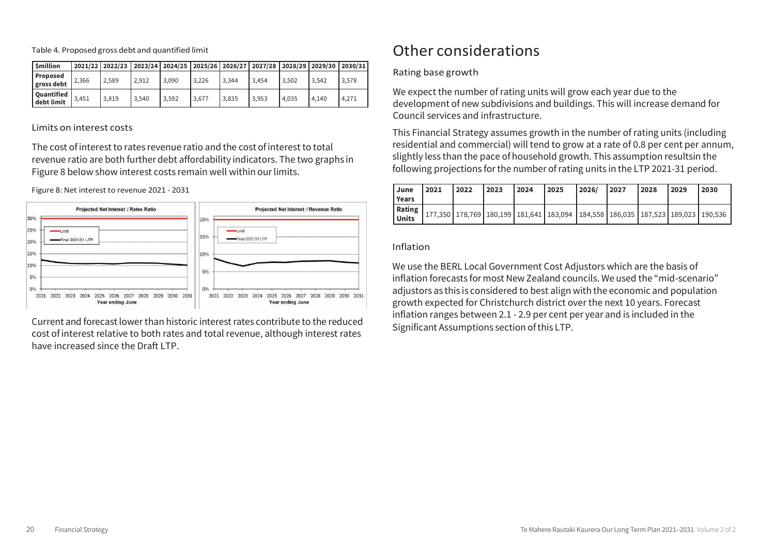Table 4. Proposed gross debt and quantified limit

| <b>Smillion</b>          |       | 2021/22 2022/23 |       |       |       |       |       |       | 2023/24 2024/25 2025/26 2026/27 2027/28 2028/29 2029/30 2030/31 |       |
|--------------------------|-------|-----------------|-------|-------|-------|-------|-------|-------|-----------------------------------------------------------------|-------|
| Proposed<br>gross debt   | 2,366 | 2.589           | 2,912 | 3.090 | 3,226 | 3.344 | 3.454 | 3,502 | 3.542                                                           | 3,578 |
| Quantified<br>debt limit | 3,451 | 3,819           | 3,540 | 3,592 | 3,677 | 3,835 | 3,953 | 4.035 | 4.140                                                           | 4,271 |

#### Limits on interest costs

The cost ofinterestto rates revenue ratio and the cost ofinterest to total revenue ratio are both further debt affordability indicators. The two graphs in Figure 8 below show interest costs remain well within our limits.

Figure 8: Net interest to revenue 2021 - 2031



Current and forecast lower than historic interest rates contribute to the reduced cost ofinterest relative to both rates and total revenue, although interest rates have increased since the Draft LTP.

# Other considerations

### Rating base growth

We expect the number of rating units will grow each year due to the development of new subdivisions and buildings. This will increase demand for Council services and infrastructure.

This Financial Strategy assumes growth in the number of rating units (including residential and commercial) will tend to grow at a rate of 0.8 per cent per annum, slightly less than the pace of household growth. This assumption resultsin the following projections for the number ofrating units in the LTP 2021-31 period.

| l June<br><b>Years</b> | 2021 | 2022 | 2023 | 2024 | 2025 | 2026/ | 2027 | 2028 | 2029 | 2030                                                                                          |
|------------------------|------|------|------|------|------|-------|------|------|------|-----------------------------------------------------------------------------------------------|
|                        |      |      |      |      |      |       |      |      |      | <b>Rating</b> 177,350 178,769 180,199 181,641 183,094 184,558 186,035 187,523 189,023 190,536 |

#### Inflation

We use the BERL Local Government Cost Adjustors which are the basis of inflation forecasts for most New Zealand councils. We used the "mid-scenario" adjustors as this is considered to best align with the economic and population growth expected for Christchurch district over the next 10 years. Forecast inflation ranges between 2.1 - 2.9 per cent per year and is included in the Significant Assumptions section ofthis LTP.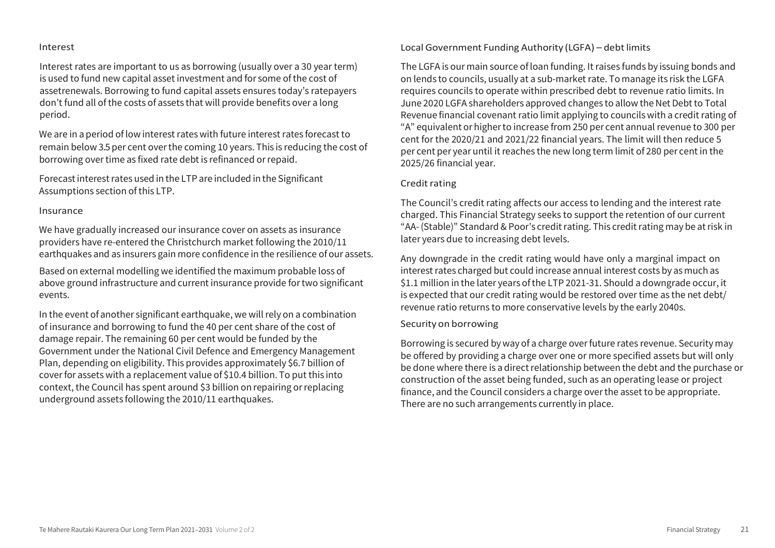#### Interest

Interest rates are important to us as borrowing (usually over a 30 year term) is used to fund new capital asset investment and for some of the cost of assetrenewals. Borrowing to fund capital assets ensures today's ratepayers don't fund all of the costs of assets that will provide benefits over a long period.

We are in a period of low interest rates with future interest rates forecast to remain below 3.5per cent over the coming 10 years. This is reducing the cost of borrowing overtime as fixed rate debt is refinanced orrepaid.

Forecast interest rates used in the LTP are included in the Significant Assumptions section ofthis LTP.

#### Insurance

We have gradually increased our insurance cover on assets as insurance providers have re-entered the Christchurch market following the 2010/11 earthquakes and as insurers gain more confidence in the resilience of our assets.

Based on external modelling we identified the maximum probable loss of above ground infrastructure and current insurance provide for two significant events.

In the event of another significant earthquake, we will rely on a combination of insurance and borrowing to fund the 40 per cent share of the cost of damage repair. The remaining 60 per cent would be funded by the Government under the National Civil Defence and Emergency Management Plan, depending on eligibility. This provides approximately \$6.7 billion of cover for assets with a replacement value of \$10.4 billion. To put this into context, the Council has spent around \$3 billion on repairing orreplacing underground assets following the 2010/11 earthquakes.

Local Government Funding Authority (LGFA) – debt limits

The LGFA is our main source of loan funding. It raises funds by issuing bonds and on lends to councils, usually at a sub-market rate. To manage its risk the LGFA requires councils to operate within prescribed debt to revenue ratio limits. In June 2020 LGFA shareholders approved changes to allow the Net Debtto Total Revenue financial covenant ratio limit applying to councils with a credit rating of "A" equivalent or higher to increase from 250 per cent annual revenue to 300 per cent for the 2020/21 and 2021/22 financial years. The limit will then reduce 5 per cent per year until it reaches the new long term limit of 280 per cent in the 2025/26 financial year.

#### Credit rating

The Council's credit rating affects our access to lending and the interest rate charged. This Financial Strategy seeks to support the retention of our current "AA- (Stable)" Standard & Poor's credit rating. This credit rating may be atrisk in later years due to increasing debt levels.

Any downgrade in the credit rating would have only a marginal impact on interest rates charged but could increase annual interest costs by as much as \$1.1 million in the later years of the LTP 2021-31. Should a downgrade occur, it is expected that our credit rating would be restored over time as the net debt/ revenue ratio returns to more conservative levels by the early 2040s.

#### Security on borrowing

Borrowing is secured byway of a charge over future rates revenue. Security may be offered by providing a charge over one or more specified assets but will only be done where there is a direct relationship between the debt and the purchase or construction of the asset being funded, such as an operating lease or project finance, and the Council considers a charge over the asset to be appropriate. There are no such arrangements currently in place.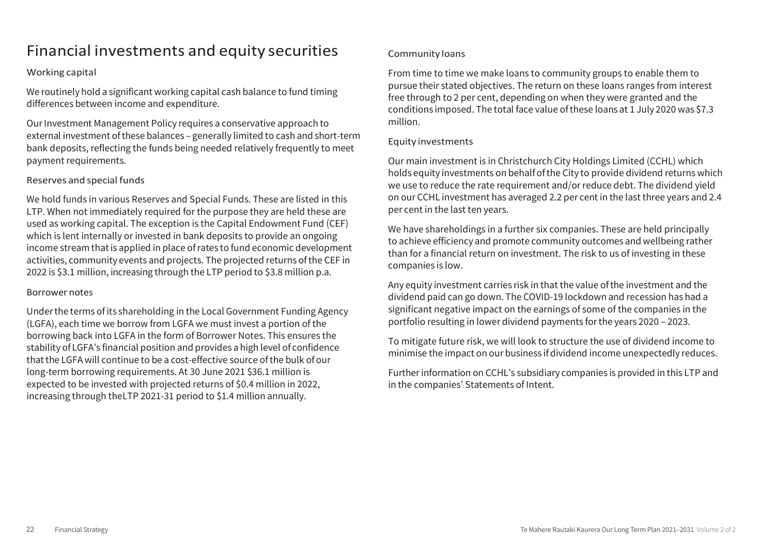# Financial investments and equity securities

#### Working capital

We routinely hold a significant working capital cash balance to fund timing differences between income and expenditure.

Our Investment Management Policy requires a conservative approach to external investment ofthese balances – generally limited to cash and short-term bank deposits, reflecting the funds being needed relatively frequently to meet payment requirements.

#### Reserves and special funds

We hold funds in various Reserves and Special Funds. These are listed in this LTP. When not immediately required for the purpose they are held these are used as working capital. The exception is the Capital Endowment Fund (CEF) which is lent internally or invested in bank deposits to provide an ongoing income stream that is applied in place of rates to fund economic development activities, community events and projects. The projected returns of the CEF in 2022 is \$3.1 million, increasing through the LTP period to \$3.8 million p.a.

#### Borrower notes

Under the terms ofits shareholding in the Local Government Funding Agency (LGFA), each time we borrow from LGFA we must invest a portion of the borrowing back into LGFA in the form of Borrower Notes. This ensures the stability of LGFA's financial position and provides a high level of confidence thatthe LGFA will continue to be a cost-effective source of the bulk of our long- term borrowing requirements. At 30 June 2021 \$36.1 million is expected to be invested with projected returns of \$0.4 million in 2022, increasing through the LTP 2021-31 period to \$1.4 million annually.

#### Community loans

From time to time we make loans to community groups to enable them to pursue their stated objectives. The return on these loans ranges from interest free through to 2 per cent, depending on when they were granted and the conditions imposed. The total face value ofthese loans at 1 July 2020 was \$7.3 million.

#### Equity investments

Our main investment is in Christchurch City Holdings Limited (CCHL) which holds equity investments on behalf of the City to provide dividend returns which we use to reduce the rate requirement and/or reduce debt. The dividend yield on our CCHL investment has averaged 2.2 per cent in the last three years and 2.4 per cent in the last ten years.

We have shareholdings in a further six companies. These are held principally to achieve efficiency and promote community outcomes and wellbeing rather than for a financial return on investment. The risk to us of investing in these companies is low.

Any equity investment carries risk in that the value ofthe investment and the dividend paid can go down. The COVID-19 lockdown and recession has had a significant negative impact on the earnings of some of the companies in the portfolio resulting in lower dividend payments for the years 2020 – 2023.

To mitigate future risk, we will look to structure the use of dividend income to minimise the impact on our business if dividend income unexpectedly reduces.

Further information on CCHL's subsidiary companies is provided in this LTP and in the companies' Statements of Intent.